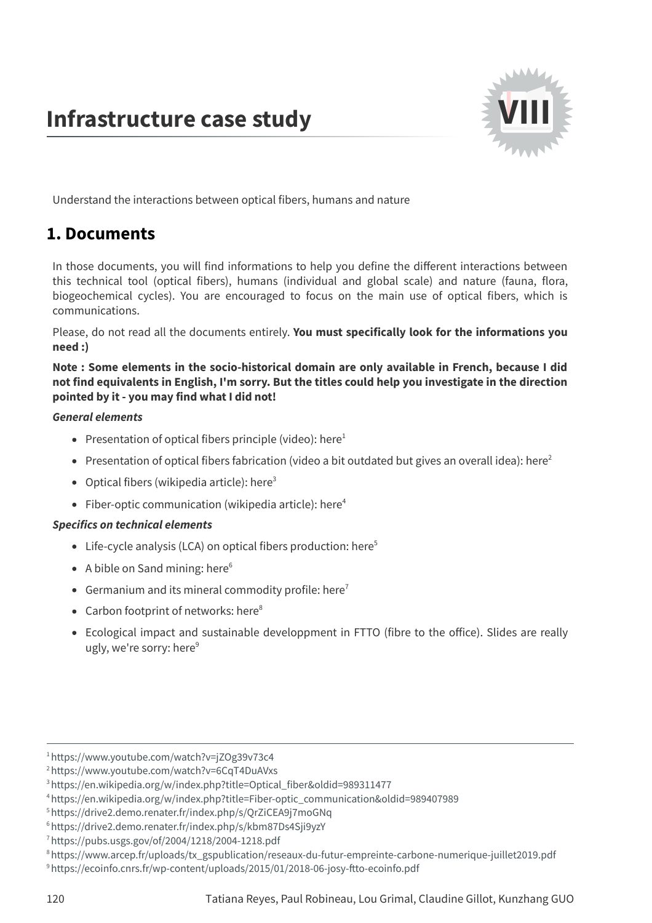# **Infrastructure case study**



Understand the interactions between optical fibers, humans and nature

# **1. Documents**

In those documents, you will find informations to help you define the different interactions between this technical tool (optical fibers), humans (individual and global scale) and nature (fauna, flora, biogeochemical cycles). You are encouraged to focus on the main use of optical fibers, which is communications.

Please, do not read all the documents entirely. **You must specifically look for the informations you need :)**

**Note : Some elements in the socio-historical domain are only available in French, because I did not find equivalents in English, I'm sorry. But the titles could help you investigate in the direction pointed by it - you may find what I did not!**

## **General elements**

- Presentation of optical fibers principle (video): [here](https://www.youtube.com/watch?v=jZOg39v73c4) 1
- Presentation of optical fibers fabrication (video a bit outdated but gives an overall idea): [here](https://www.youtube.com/watch?v=6CqT4DuAVxs)<sup>2</sup>
- Optical fibers (wikipedia article): [here](https://en.wikipedia.org/w/index.php?title=Optical_fiber&oldid=989311477) 3
- Fiber-optic communication (wikipedia article): [here](https://en.wikipedia.org/w/index.php?title=Fiber-optic_communication&oldid=989407989) 4

## **Specifics on technical elements**

- Life-cycle analysis (LCA) on optical fibers production: [here](https://drive2.demo.renater.fr/index.php/s/QrZiCEA9j7moGNq) 5
- A bible on Sand mining: [here](https://drive2.demo.renater.fr/index.php/s/kbm87Ds4Sji9yzY) 6
- Germanium and its mineral commodity profile: [here](https://pubs.usgs.gov/of/2004/1218/2004-1218.pdf)<sup>7</sup>
- Carbon footprint of networks: [here](https://www.arcep.fr/uploads/tx_gspublication/reseaux-du-futur-empreinte-carbone-numerique-juillet2019.pdf)<sup>8</sup>
- Ecological impact and sustainable developpment in FTTO (fibre to the office). Slides are really ugly, we're sorry: [here](https://ecoinfo.cnrs.fr/wp-content/uploads/2015/01/2018-06-josy-ftto-ecoinfo.pdf)<sup>9</sup>

<sup>1</sup><https://www.youtube.com/watch?v=jZOg39v73c4>

<sup>2</sup><https://www.youtube.com/watch?v=6CqT4DuAVxs>

<sup>3</sup>[https://en.wikipedia.org/w/index.php?title=Optical\\_fiber&oldid=989311477](https://en.wikipedia.org/w/index.php?title=Optical_fiber&oldid=989311477)

<sup>4</sup>[https://en.wikipedia.org/w/index.php?title=Fiber-optic\\_communication&oldid=989407989](https://en.wikipedia.org/w/index.php?title=Fiber-optic_communication&oldid=989407989)

<sup>5</sup><https://drive2.demo.renater.fr/index.php/s/QrZiCEA9j7moGNq>

<sup>6</sup><https://drive2.demo.renater.fr/index.php/s/kbm87Ds4Sji9yzY>

<sup>7</sup><https://pubs.usgs.gov/of/2004/1218/2004-1218.pdf>

<sup>8</sup>[https://www.arcep.fr/uploads/tx\\_gspublication/reseaux-du-futur-empreinte-carbone-numerique-juillet2019.pdf](https://www.arcep.fr/uploads/tx_gspublication/reseaux-du-futur-empreinte-carbone-numerique-juillet2019.pdf)

<sup>&</sup>lt;sup>9</sup>https://ecoinfo.cnrs.fr/wp-content/uploads/2015/01/2018-06-josy-ftto-ecoinfo.pdf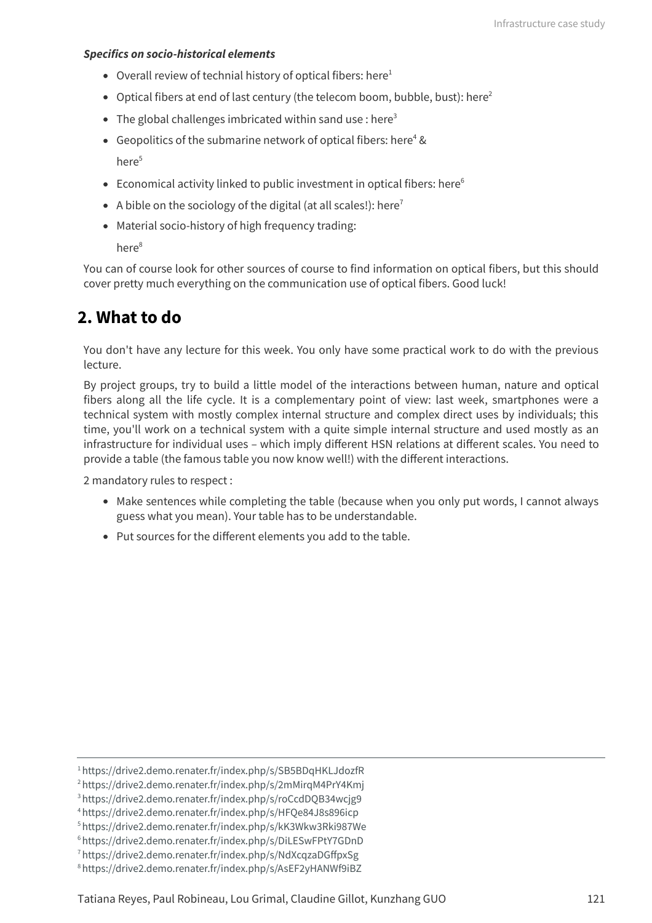#### **Specifics on socio-historical elements**

- Overall review of technial history of optical fibers: [here](https://drive2.demo.renater.fr/index.php/s/SB5BDqHKLJdozfR) 1
- Optical fibers at end of last century (the telecom boom, bubble, bust): [here](https://drive2.demo.renater.fr/index.php/s/2mMirqM4PrY4Kmj) $^2$
- The global challenges imbricated within sand use : [here](https://drive2.demo.renater.fr/index.php/s/roCcdDQB34wcjg9) $^{\rm 3}$
- Geopolitics of the submarine network of optical fibers: [here](https://drive2.demo.renater.fr/index.php/s/HFQe84J8s896icp) <sup>4</sup> & [here](https://drive2.demo.renater.fr/index.php/s/kK3Wkw3Rki987We) 5
- Economical activity linked to public investment in optical fibers: [here](https://drive2.demo.renater.fr/index.php/s/DiLESwFPtY7GDnD) 6
- A bible on the sociology of the digital (at all scales!): [here](https://drive2.demo.renater.fr/index.php/s/NdXcqzaDGffpxSg) $^7$
- Material socio-history of high frequency trading:

[here](https://drive2.demo.renater.fr/index.php/s/AsEF2yHANWf9iBZ) 8

You can of course look for other sources of course to find information on optical fibers, but this should cover pretty much everything on the communication use of optical fibers. Good luck!

## **2. What to do**

You don't have any lecture for this week. You only have some practical work to do with the previous lecture.

By project groups, try to build a little model of the interactions between human, nature and optical fibers along all the life cycle. It is a complementary point of view: last week, smartphones were a technical system with mostly complex internal structure and complex direct uses by individuals; this time, you'll work on a technical system with a quite simple internal structure and used mostly as an infrastructure for individual uses – which imply different HSN relations at different scales. You need to provide a table (the famous table you now know well!) with the different interactions.

2 mandatory rules to respect :

- Make sentences while completing the table (because when you only put words, I cannot always guess what you mean). Your table has to be understandable.
- Put sources for the different elements you add to the table.

<sup>1</sup><https://drive2.demo.renater.fr/index.php/s/SB5BDqHKLJdozfR>

<sup>2</sup><https://drive2.demo.renater.fr/index.php/s/2mMirqM4PrY4Kmj>

<sup>3</sup><https://drive2.demo.renater.fr/index.php/s/roCcdDQB34wcjg9>

<sup>4</sup><https://drive2.demo.renater.fr/index.php/s/HFQe84J8s896icp>

<sup>5</sup><https://drive2.demo.renater.fr/index.php/s/kK3Wkw3Rki987We>

<sup>6</sup><https://drive2.demo.renater.fr/index.php/s/DiLESwFPtY7GDnD>

<sup>7</sup><https://drive2.demo.renater.fr/index.php/s/NdXcqzaDGffpxSg>

<sup>8</sup><https://drive2.demo.renater.fr/index.php/s/AsEF2yHANWf9iBZ>